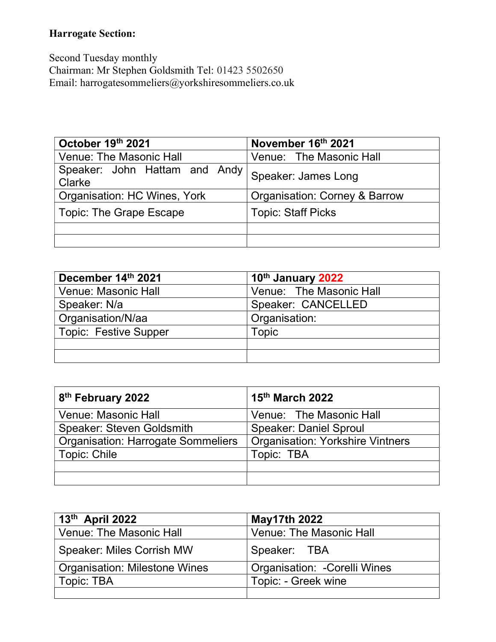## Harrogate Section:

Second Tuesday monthly Chairman: Mr Stephen Goldsmith Tel: 01423 5502650 Email: harrogatesommeliers@yorkshiresommeliers.co.uk

| October 19th 2021                       | November 16th 2021            |
|-----------------------------------------|-------------------------------|
| <b>Venue: The Masonic Hall</b>          | Venue: The Masonic Hall       |
| Speaker: John Hattam and Andy<br>Clarke | Speaker: James Long           |
| Organisation: HC Wines, York            | Organisation: Corney & Barrow |
| Topic: The Grape Escape                 | <b>Topic: Staff Picks</b>     |
|                                         |                               |
|                                         |                               |

| December 14th 2021           | 10 <sup>th</sup> January 2022 |
|------------------------------|-------------------------------|
| Venue: Masonic Hall          | Venue: The Masonic Hall       |
| Speaker: N/a                 | Speaker: CANCELLED            |
| Organisation/N/aa            | Organisation:                 |
| <b>Topic: Festive Supper</b> | Topic                         |
|                              |                               |
|                              |                               |

| 8 <sup>th</sup> February 2022             | 15th March 2022                         |
|-------------------------------------------|-----------------------------------------|
| <b>Venue: Masonic Hall</b>                | Venue: The Masonic Hall                 |
| <b>Speaker: Steven Goldsmith</b>          | <b>Speaker: Daniel Sproul</b>           |
| <b>Organisation: Harrogate Sommeliers</b> | <b>Organisation: Yorkshire Vintners</b> |
| Topic: Chile                              | Topic: TBA                              |
|                                           |                                         |
|                                           |                                         |

| $13th$ April 2022                    | <b>May17th 2022</b>           |
|--------------------------------------|-------------------------------|
| <b>Venue: The Masonic Hall</b>       | Venue: The Masonic Hall       |
| <b>Speaker: Miles Corrish MW</b>     | Speaker: TBA                  |
| <b>Organisation: Milestone Wines</b> | Organisation: - Corelli Wines |
| Topic: TBA                           | Topic: - Greek wine           |
|                                      |                               |